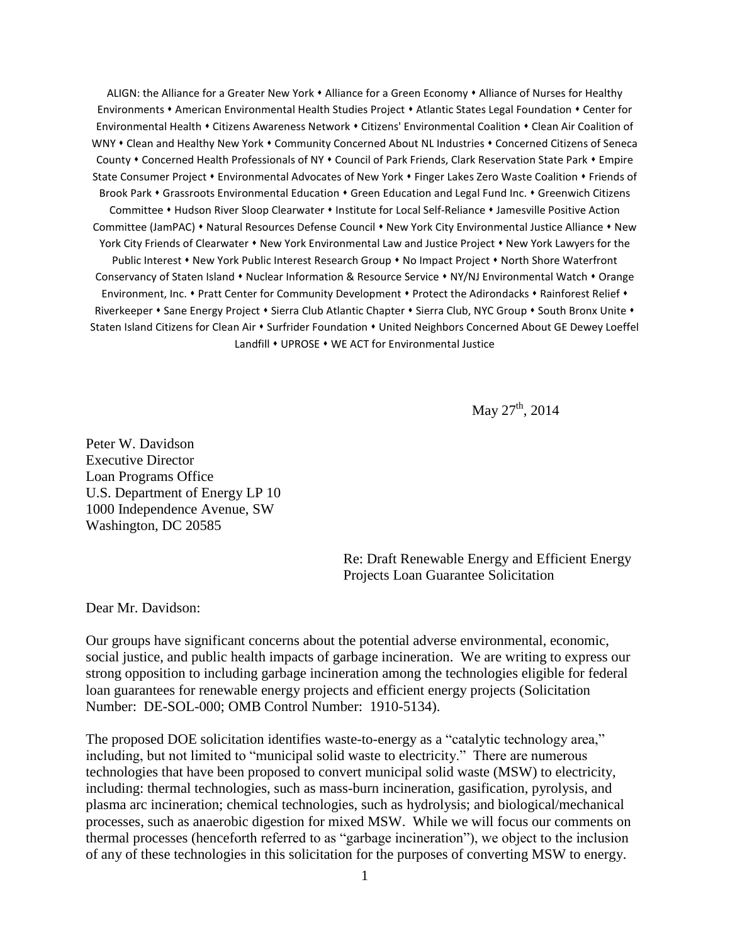ALIGN: the Alliance for a Greater New York . Alliance for a Green Economy . Alliance of Nurses for Healthy Environments • American Environmental Health Studies Project • Atlantic States Legal Foundation • Center for Environmental Health • Citizens Awareness Network • Citizens' Environmental Coalition • Clean Air Coalition of WNY • Clean and Healthy New York • Community Concerned About NL Industries • Concerned Citizens of Seneca County . Concerned Health Professionals of NY . Council of Park Friends, Clark Reservation State Park . Empire State Consumer Project • Environmental Advocates of New York • Finger Lakes Zero Waste Coalition • Friends of Brook Park • Grassroots Environmental Education • Green Education and Legal Fund Inc. • Greenwich Citizens Committee • Hudson River Sloop Clearwater • Institute for Local Self-Reliance • Jamesville Positive Action Committee (JamPAC) • Natural Resources Defense Council • New York City Environmental Justice Alliance • New York City Friends of Clearwater • New York Environmental Law and Justice Project • New York Lawyers for the Public Interest • New York Public Interest Research Group • No Impact Project • North Shore Waterfront Conservancy of Staten Island • Nuclear Information & Resource Service • NY/NJ Environmental Watch • Orange Environment, Inc. . Pratt Center for Community Development . Protect the Adirondacks . Rainforest Relief . Riverkeeper • Sane Energy Project • Sierra Club Atlantic Chapter • Sierra Club, NYC Group • South Bronx Unite • Staten Island Citizens for Clean Air • Surfrider Foundation • United Neighbors Concerned About GE Dewey Loeffel Landfill • UPROSE • WE ACT for Environmental Justice

May  $27^{\text{th}}$ , 2014

Peter W. Davidson Executive Director Loan Programs Office U.S. Department of Energy LP 10 1000 Independence Avenue, SW Washington, DC 20585

> Re: Draft Renewable Energy and Efficient Energy Projects Loan Guarantee Solicitation

Dear Mr. Davidson:

Our groups have significant concerns about the potential adverse environmental, economic, social justice, and public health impacts of garbage incineration. We are writing to express our strong opposition to including garbage incineration among the technologies eligible for federal loan guarantees for renewable energy projects and efficient energy projects (Solicitation Number: DE-SOL-000; OMB Control Number: 1910-5134).

The proposed DOE solicitation identifies waste-to-energy as a "catalytic technology area," including, but not limited to "municipal solid waste to electricity." There are numerous technologies that have been proposed to convert municipal solid waste (MSW) to electricity, including: thermal technologies, such as mass-burn incineration, gasification, pyrolysis, and plasma arc incineration; chemical technologies, such as hydrolysis; and biological/mechanical processes, such as anaerobic digestion for mixed MSW. While we will focus our comments on thermal processes (henceforth referred to as "garbage incineration"), we object to the inclusion of any of these technologies in this solicitation for the purposes of converting MSW to energy.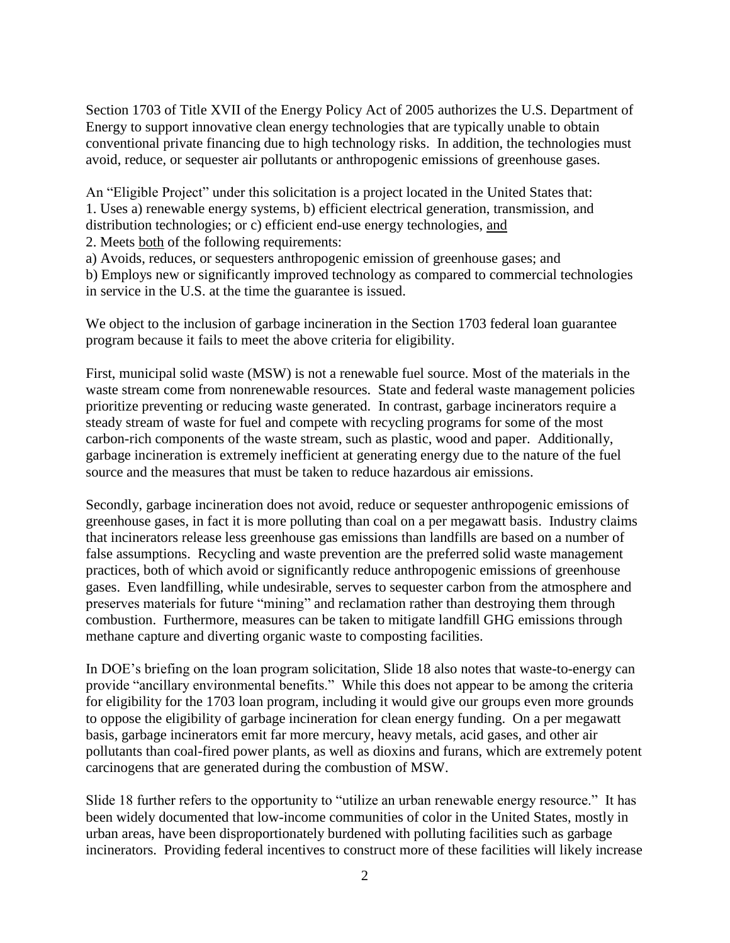Section 1703 of Title XVII of the Energy Policy Act of 2005 authorizes the U.S. Department of Energy to support innovative clean energy technologies that are typically unable to obtain conventional private financing due to high technology risks. In addition, the technologies must avoid, reduce, or sequester air pollutants or anthropogenic emissions of greenhouse gases.

An "Eligible Project" under this solicitation is a project located in the United States that: 1. Uses a) renewable energy systems, b) efficient electrical generation, transmission, and distribution technologies; or c) efficient end-use energy technologies, and

2. Meets both of the following requirements:

a) Avoids, reduces, or sequesters anthropogenic emission of greenhouse gases; and

b) Employs new or significantly improved technology as compared to commercial technologies in service in the U.S. at the time the guarantee is issued.

We object to the inclusion of garbage incineration in the Section 1703 federal loan guarantee program because it fails to meet the above criteria for eligibility.

First, municipal solid waste (MSW) is not a renewable fuel source. Most of the materials in the waste stream come from nonrenewable resources. State and federal waste management policies prioritize preventing or reducing waste generated. In contrast, garbage incinerators require a steady stream of waste for fuel and compete with recycling programs for some of the most carbon-rich components of the waste stream, such as plastic, wood and paper. Additionally, garbage incineration is extremely inefficient at generating energy due to the nature of the fuel source and the measures that must be taken to reduce hazardous air emissions.

Secondly, garbage incineration does not avoid, reduce or sequester anthropogenic emissions of greenhouse gases, in fact it is more polluting than coal on a per megawatt basis. Industry claims that incinerators release less greenhouse gas emissions than landfills are based on a number of false assumptions. Recycling and waste prevention are the preferred solid waste management practices, both of which avoid or significantly reduce anthropogenic emissions of greenhouse gases. Even landfilling, while undesirable, serves to sequester carbon from the atmosphere and preserves materials for future "mining" and reclamation rather than destroying them through combustion. Furthermore, measures can be taken to mitigate landfill GHG emissions through methane capture and diverting organic waste to composting facilities.

In DOE's briefing on the loan program solicitation, Slide 18 also notes that waste-to-energy can provide "ancillary environmental benefits." While this does not appear to be among the criteria for eligibility for the 1703 loan program, including it would give our groups even more grounds to oppose the eligibility of garbage incineration for clean energy funding. On a per megawatt basis, garbage incinerators emit far more mercury, heavy metals, acid gases, and other air pollutants than coal-fired power plants, as well as dioxins and furans, which are extremely potent carcinogens that are generated during the combustion of MSW.

Slide 18 further refers to the opportunity to "utilize an urban renewable energy resource." It has been widely documented that low-income communities of color in the United States, mostly in urban areas, have been disproportionately burdened with polluting facilities such as garbage incinerators. Providing federal incentives to construct more of these facilities will likely increase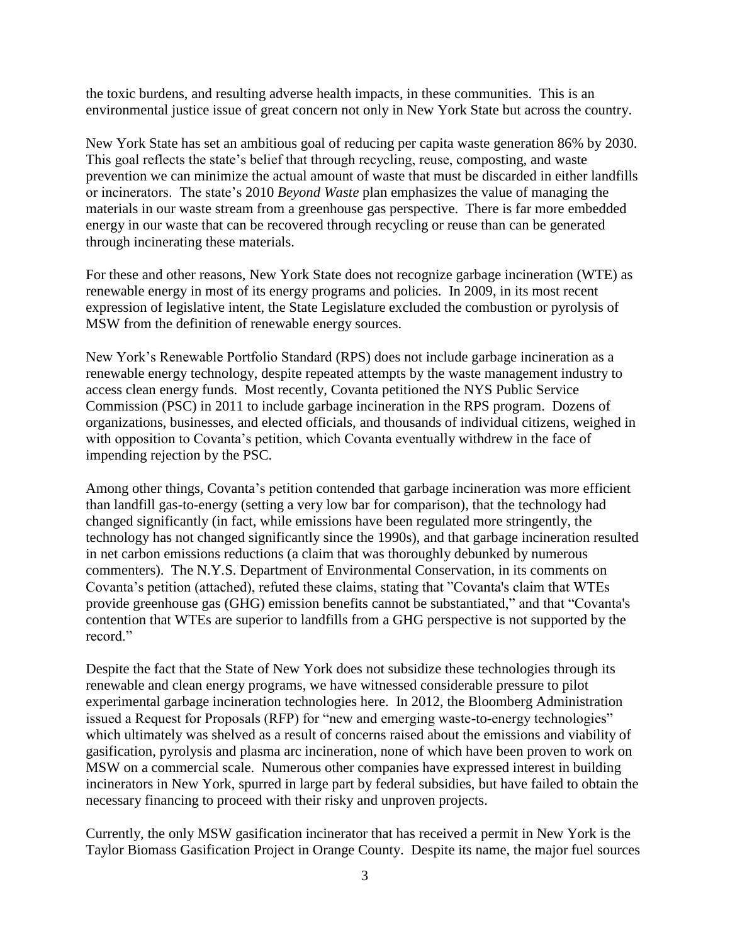the toxic burdens, and resulting adverse health impacts, in these communities. This is an environmental justice issue of great concern not only in New York State but across the country.

New York State has set an ambitious goal of reducing per capita waste generation 86% by 2030. This goal reflects the state's belief that through recycling, reuse, composting, and waste prevention we can minimize the actual amount of waste that must be discarded in either landfills or incinerators. The state's 2010 *Beyond Waste* plan emphasizes the value of managing the materials in our waste stream from a greenhouse gas perspective. There is far more embedded energy in our waste that can be recovered through recycling or reuse than can be generated through incinerating these materials.

For these and other reasons, New York State does not recognize garbage incineration (WTE) as renewable energy in most of its energy programs and policies. In 2009, in its most recent expression of legislative intent, the State Legislature excluded the combustion or pyrolysis of MSW from the definition of renewable energy sources.

New York's Renewable Portfolio Standard (RPS) does not include garbage incineration as a renewable energy technology, despite repeated attempts by the waste management industry to access clean energy funds. Most recently, Covanta petitioned the NYS Public Service Commission (PSC) in 2011 to include garbage incineration in the RPS program. Dozens of organizations, businesses, and elected officials, and thousands of individual citizens, weighed in with opposition to Covanta's petition, which Covanta eventually withdrew in the face of impending rejection by the PSC.

Among other things, Covanta's petition contended that garbage incineration was more efficient than landfill gas-to-energy (setting a very low bar for comparison), that the technology had changed significantly (in fact, while emissions have been regulated more stringently, the technology has not changed significantly since the 1990s), and that garbage incineration resulted in net carbon emissions reductions (a claim that was thoroughly debunked by numerous commenters). The N.Y.S. Department of Environmental Conservation, in its comments on Covanta's petition (attached), refuted these claims, stating that "Covanta's claim that WTEs provide greenhouse gas (GHG) emission benefits cannot be substantiated," and that "Covanta's contention that WTEs are superior to landfills from a GHG perspective is not supported by the record."

Despite the fact that the State of New York does not subsidize these technologies through its renewable and clean energy programs, we have witnessed considerable pressure to pilot experimental garbage incineration technologies here. In 2012, the Bloomberg Administration issued a Request for Proposals (RFP) for "new and emerging waste-to-energy technologies" which ultimately was shelved as a result of concerns raised about the emissions and viability of gasification, pyrolysis and plasma arc incineration, none of which have been proven to work on MSW on a commercial scale. Numerous other companies have expressed interest in building incinerators in New York, spurred in large part by federal subsidies, but have failed to obtain the necessary financing to proceed with their risky and unproven projects.

Currently, the only MSW gasification incinerator that has received a permit in New York is the Taylor Biomass Gasification Project in Orange County. Despite its name, the major fuel sources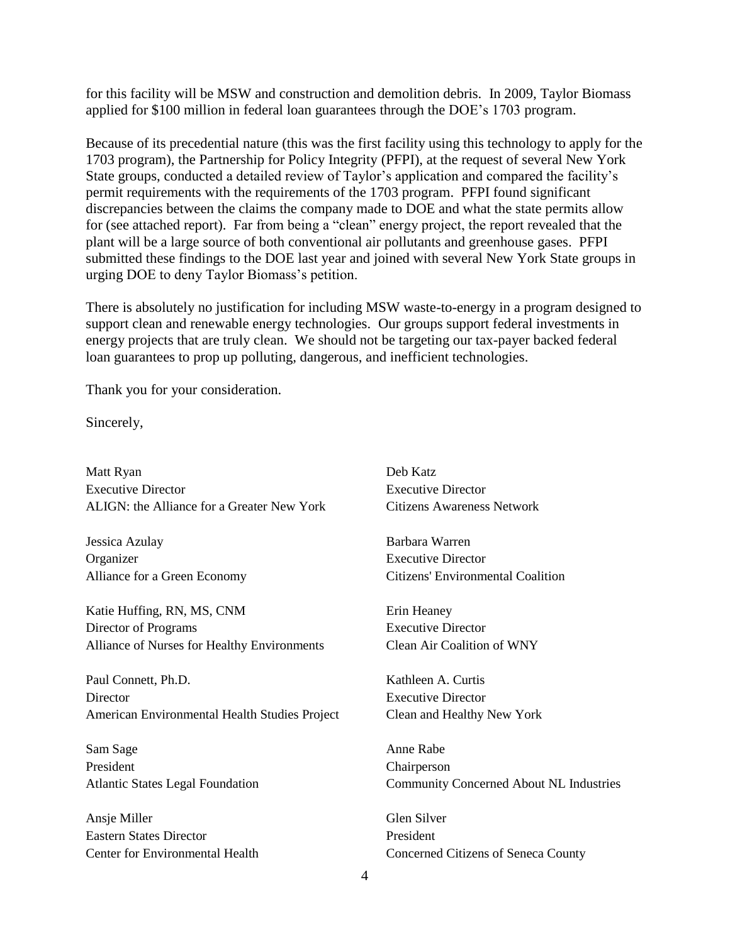for this facility will be MSW and construction and demolition debris. In 2009, Taylor Biomass applied for \$100 million in federal loan guarantees through the DOE's 1703 program.

Because of its precedential nature (this was the first facility using this technology to apply for the 1703 program), the Partnership for Policy Integrity (PFPI), at the request of several New York State groups, conducted a detailed review of Taylor's application and compared the facility's permit requirements with the requirements of the 1703 program. PFPI found significant discrepancies between the claims the company made to DOE and what the state permits allow for (see attached report). Far from being a "clean" energy project, the report revealed that the plant will be a large source of both conventional air pollutants and greenhouse gases. PFPI submitted these findings to the DOE last year and joined with several New York State groups in urging DOE to deny Taylor Biomass's petition.

There is absolutely no justification for including MSW waste-to-energy in a program designed to support clean and renewable energy technologies. Our groups support federal investments in energy projects that are truly clean. We should not be targeting our tax-payer backed federal loan guarantees to prop up polluting, dangerous, and inefficient technologies.

Thank you for your consideration.

Sincerely,

Matt Ryan Executive Director ALIGN: the Alliance for a Greater New York

Jessica Azulay Organizer Alliance for a Green Economy

Katie Huffing, RN, MS, CNM Director of Programs Alliance of Nurses for Healthy Environments

Paul Connett, Ph.D. **Director** American Environmental Health Studies Project

Sam Sage President Atlantic States Legal Foundation

Ansje Miller Eastern States Director Center for Environmental Health

Deb Katz Executive Director Citizens Awareness Network

Barbara Warren Executive Director Citizens' Environmental Coalition

Erin Heaney Executive Director Clean Air Coalition of WNY

Kathleen A. Curtis Executive Director Clean and Healthy New York

Anne Rabe Chairperson Community Concerned About NL Industries

Glen Silver President Concerned Citizens of Seneca County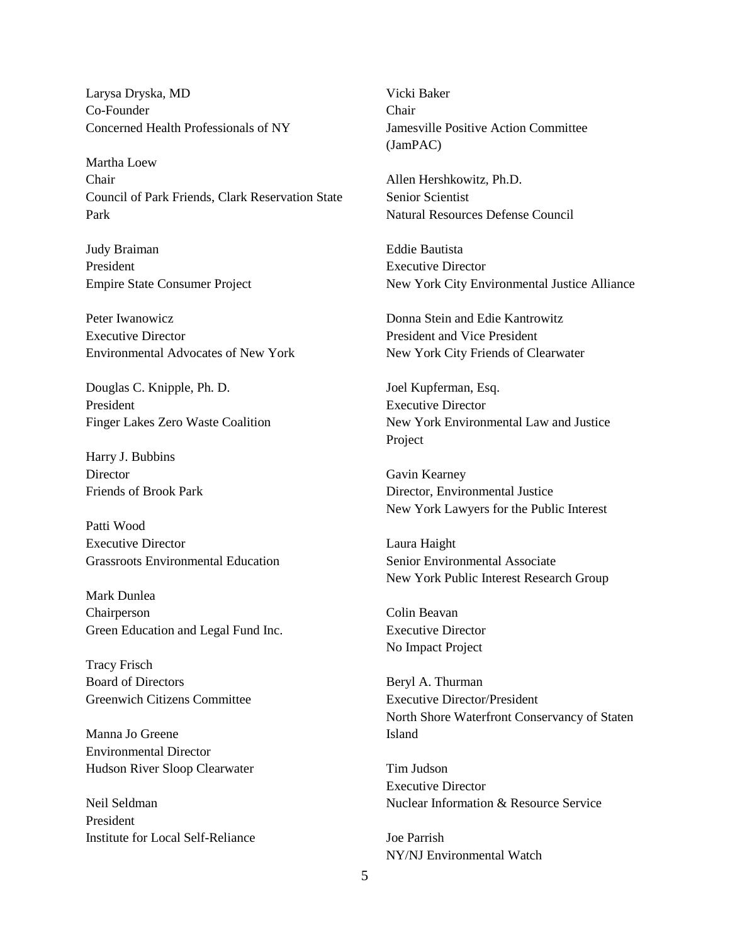Larysa Dryska, MD Co-Founder Concerned Health Professionals of NY

Martha Loew Chair Council of Park Friends, Clark Reservation State Park

Judy Braiman President Empire State Consumer Project

Peter Iwanowicz Executive Director Environmental Advocates of New York

Douglas C. Knipple, Ph. D. President Finger Lakes Zero Waste Coalition

Harry J. Bubbins **Director** Friends of Brook Park

Patti Wood Executive Director Grassroots Environmental Education

Mark Dunlea Chairperson Green Education and Legal Fund Inc.

Tracy Frisch Board of Directors Greenwich Citizens Committee

Manna Jo Greene Environmental Director Hudson River Sloop Clearwater

Neil Seldman President Institute for Local Self-Reliance Vicki Baker Chair Jamesville Positive Action Committee (JamPAC)

Allen Hershkowitz, Ph.D. Senior Scientist Natural Resources Defense Council

Eddie Bautista Executive Director New York City Environmental Justice Alliance

Donna Stein and Edie Kantrowitz President and Vice President New York City Friends of Clearwater

Joel Kupferman, Esq. Executive Director New York Environmental Law and Justice Project

Gavin Kearney Director, Environmental Justice New York Lawyers for the Public Interest

Laura Haight Senior Environmental Associate New York Public Interest Research Group

Colin Beavan Executive Director No Impact Project

Beryl A. Thurman Executive Director/President North Shore Waterfront Conservancy of Staten Island

Tim Judson Executive Director Nuclear Information & Resource Service

Joe Parrish NY/NJ Environmental Watch